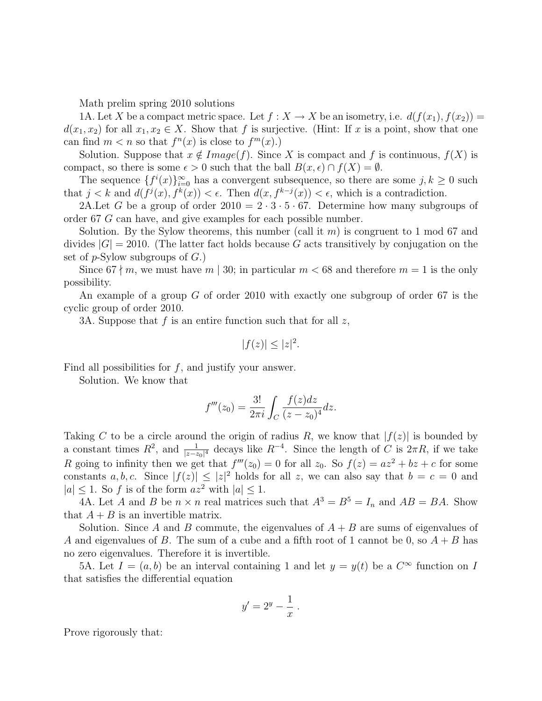Math prelim spring 2010 solutions

1A. Let X be a compact metric space. Let  $f : X \to X$  be an isometry, i.e.  $d(f(x_1), f(x_2)) =$  $d(x_1, x_2)$  for all  $x_1, x_2 \in X$ . Show that f is surjective. (Hint: If x is a point, show that one can find  $m < n$  so that  $f^{n}(x)$  is close to  $f^{m}(x)$ .

Solution. Suppose that  $x \notin Image(f)$ . Since X is compact and f is continuous,  $f(X)$  is compact, so there is some  $\epsilon > 0$  such that the ball  $B(x, \epsilon) \cap f(X) = \emptyset$ .

The sequence  $\{f^i(x)\}_{i=0}^{\infty}$  has a convergent subsequence, so there are some  $j, k \geq 0$  such that  $j < k$  and  $d(f^j(x), f^k(x)) < \epsilon$ . Then  $d(x, f^{k-j}(x)) < \epsilon$ , which is a contradiction.

2A.Let G be a group of order  $2010 = 2 \cdot 3 \cdot 5 \cdot 67$ . Determine how many subgroups of order 67 G can have, and give examples for each possible number.

Solution. By the Sylow theorems, this number (call it m) is congruent to 1 mod 67 and divides  $|G| = 2010$ . (The latter fact holds because G acts transitively by conjugation on the set of  $p$ -Sylow subgroups of  $G$ .)

Since  $67 \nmid m$ , we must have  $m \mid 30$ ; in particular  $m < 68$  and therefore  $m = 1$  is the only possibility.

An example of a group G of order 2010 with exactly one subgroup of order 67 is the cyclic group of order 2010.

3A. Suppose that  $f$  is an entire function such that for all  $z$ ,

$$
|f(z)| \le |z|^2.
$$

Find all possibilities for  $f$ , and justify your answer.

Solution. We know that

$$
f'''(z_0) = \frac{3!}{2\pi i} \int_C \frac{f(z)dz}{(z - z_0)^4} dz.
$$

Taking C to be a circle around the origin of radius R, we know that  $|f(z)|$  is bounded by a constant times  $R^2$ , and  $\frac{1}{|z-z_0|^4}$  decays like  $R^{-4}$ . Since the length of C is  $2\pi R$ , if we take R going to infinity then we get that  $f'''(z_0) = 0$  for all  $z_0$ . So  $f(z) = az^2 + bz + c$  for some constants a, b, c. Since  $|f(z)| \leq |z|^2$  holds for all z, we can also say that  $b = c = 0$  and  $|a| \leq 1$ . So f is of the form  $az^2$  with  $|a| \leq 1$ .

4A. Let A and B be  $n \times n$  real matrices such that  $A^3 = B^5 = I_n$  and  $AB = BA$ . Show that  $A + B$  is an invertible matrix.

Solution. Since A and B commute, the eigenvalues of  $A + B$  are sums of eigenvalues of A and eigenvalues of B. The sum of a cube and a fifth root of 1 cannot be 0, so  $A + B$  has no zero eigenvalues. Therefore it is invertible.

5A. Let  $I = (a, b)$  be an interval containing 1 and let  $y = y(t)$  be a  $C^{\infty}$  function on I that satisfies the differential equation

$$
y'=2^y-\frac{1}{x}.
$$

Prove rigorously that: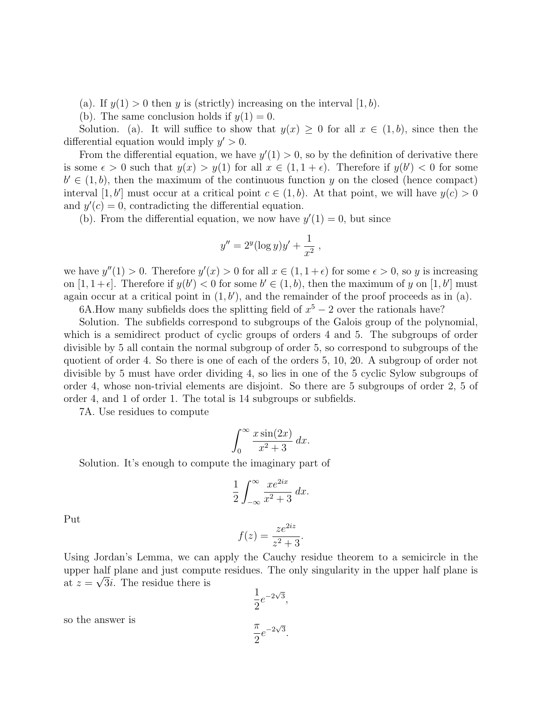(a). If  $y(1) > 0$  then y is (strictly) increasing on the interval  $[1, b)$ .

(b). The same conclusion holds if  $y(1) = 0$ .

Solution. (a). It will suffice to show that  $y(x) \geq 0$  for all  $x \in (1, b)$ , since then the differential equation would imply  $y' > 0$ .

From the differential equation, we have  $y'(1) > 0$ , so by the definition of derivative there is some  $\epsilon > 0$  such that  $y(x) > y(1)$  for all  $x \in (1, 1 + \epsilon)$ . Therefore if  $y(b') < 0$  for some  $b' \in (1, b)$ , then the maximum of the continuous function y on the closed (hence compact) interval [1, b'] must occur at a critical point  $c \in (1, b)$ . At that point, we will have  $y(c) > 0$ and  $y'(c) = 0$ , contradicting the differential equation.

(b). From the differential equation, we now have  $y'(1) = 0$ , but since

$$
y'' = 2^{y} (\log y) y' + \frac{1}{x^2} ,
$$

we have  $y''(1) > 0$ . Therefore  $y'(x) > 0$  for all  $x \in (1, 1 + \epsilon)$  for some  $\epsilon > 0$ , so y is increasing on  $[1, 1+\epsilon]$ . Therefore if  $y(b') < 0$  for some  $b' \in (1, b)$ , then the maximum of y on  $[1, b']$  must again occur at a critical point in  $(1, b')$ , and the remainder of the proof proceeds as in (a).

6A. How many subfields does the splitting field of  $x^5 - 2$  over the rationals have?

Solution. The subfields correspond to subgroups of the Galois group of the polynomial, which is a semidirect product of cyclic groups of orders 4 and 5. The subgroups of order divisible by 5 all contain the normal subgroup of order 5, so correspond to subgroups of the quotient of order 4. So there is one of each of the orders 5, 10, 20. A subgroup of order not divisible by 5 must have order dividing 4, so lies in one of the 5 cyclic Sylow subgroups of order 4, whose non-trivial elements are disjoint. So there are 5 subgroups of order 2, 5 of order 4, and 1 of order 1. The total is 14 subgroups or subfields.

7A. Use residues to compute

$$
\int_0^\infty \frac{x \sin(2x)}{x^2 + 3} \, dx.
$$

Solution. It's enough to compute the imaginary part of

$$
\frac{1}{2} \int_{-\infty}^{\infty} \frac{x e^{2ix}}{x^2 + 3} \, dx.
$$

Put

$$
f(z) = \frac{ze^{2iz}}{z^2 + 3}.
$$

Using Jordan's Lemma, we can apply the Cauchy residue theorem to a semicircle in the upper half plane and just compute residues. The only singularity in the upper half plane is at  $z = \sqrt{3}i$ . The residue there is

$$
\frac{1}{2}e^{-2\sqrt{3}},
$$

$$
\frac{\pi}{2}e^{-2\sqrt{3}}.
$$

so the answer is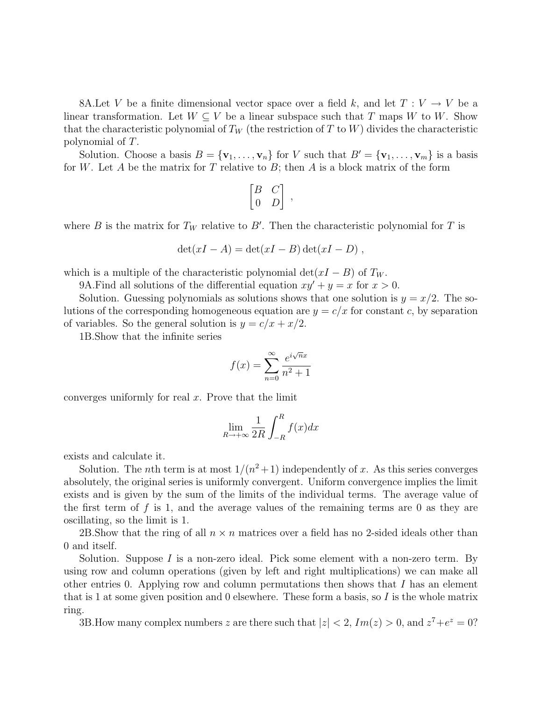8A.Let V be a finite dimensional vector space over a field k, and let  $T: V \to V$  be a linear transformation. Let  $W \subseteq V$  be a linear subspace such that T maps W to W. Show that the characteristic polynomial of  $T_W$  (the restriction of T to W) divides the characteristic polynomial of T.

Solution. Choose a basis  $B = {\mathbf{v}_1, \ldots, \mathbf{v}_n}$  for V such that  $B' = {\mathbf{v}_1, \ldots, \mathbf{v}_m}$  is a basis for W. Let A be the matrix for T relative to B; then A is a block matrix of the form

$$
\begin{bmatrix} B & C \\ 0 & D \end{bmatrix},
$$

where B is the matrix for  $T_W$  relative to B'. Then the characteristic polynomial for T is

$$
\det(xI - A) = \det(xI - B)\det(xI - D) ,
$$

which is a multiple of the characteristic polynomial det( $xI - B$ ) of  $T_W$ .

9A. Find all solutions of the differential equation  $xy' + y = x$  for  $x > 0$ .

Solution. Guessing polynomials as solutions shows that one solution is  $y = x/2$ . The solutions of the corresponding homogeneous equation are  $y = c/x$  for constant c, by separation of variables. So the general solution is  $y = c/x + x/2$ .

1B.Show that the infinite series

$$
f(x) = \sum_{n=0}^{\infty} \frac{e^{i\sqrt{n}x}}{n^2 + 1}
$$

converges uniformly for real  $x$ . Prove that the limit

$$
\lim_{R \to +\infty} \frac{1}{2R} \int_{-R}^{R} f(x) dx
$$

exists and calculate it.

Solution. The *n*th term is at most  $1/(n^2+1)$  independently of x. As this series converges absolutely, the original series is uniformly convergent. Uniform convergence implies the limit exists and is given by the sum of the limits of the individual terms. The average value of the first term of  $f$  is 1, and the average values of the remaining terms are 0 as they are oscillating, so the limit is 1.

2B. Show that the ring of all  $n \times n$  matrices over a field has no 2-sided ideals other than 0 and itself.

Solution. Suppose I is a non-zero ideal. Pick some element with a non-zero term. By using row and column operations (given by left and right multiplications) we can make all other entries 0. Applying row and column permutations then shows that I has an element that is 1 at some given position and 0 elsewhere. These form a basis, so I is the whole matrix ring.

3B. How many complex numbers z are there such that  $|z| < 2$ ,  $Im(z) > 0$ , and  $z^7 + e^z = 0$ ?